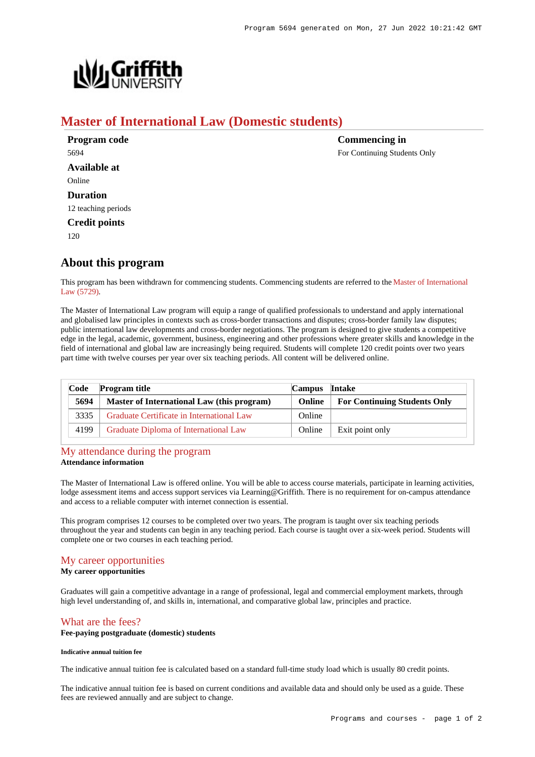

# **Master of International Law (Domestic students)**

| Program code         | <b>Commencing in</b>         |
|----------------------|------------------------------|
| 5694                 | For Continuing Students Only |
| <b>Available at</b>  |                              |
| Online               |                              |
| <b>Duration</b>      |                              |
| 12 teaching periods  |                              |
| <b>Credit points</b> |                              |
| 120                  |                              |

# **About this program**

This program has been withdrawn for commencing students. Commencing students are referred to the [Master of International](https://www148.griffith.edu.au/Search/Results?SearchText=5729) [Law \(5729\)](https://www148.griffith.edu.au/Search/Results?SearchText=5729).

The Master of International Law program will equip a range of qualified professionals to understand and apply international and globalised law principles in contexts such as cross-border transactions and disputes; cross-border family law disputes; public international law developments and cross-border negotiations. The program is designed to give students a competitive edge in the legal, academic, government, business, engineering and other professions where greater skills and knowledge in the field of international and global law are increasingly being required. Students will complete 120 credit points over two years part time with twelve courses per year over six teaching periods. All content will be delivered online.

| Code<br><b>Program title</b><br>Intake<br><b>Campus</b> |                                            |        |                                     |
|---------------------------------------------------------|--------------------------------------------|--------|-------------------------------------|
| 5694                                                    | Master of International Law (this program) | Online | <b>For Continuing Students Only</b> |
| 3335                                                    | Graduate Certificate in International Law  | Online |                                     |
| 4199                                                    | Graduate Diploma of International Law      | Online | Exit point only                     |

## [My attendance during the program](https://www148.griffith.edu.au/programs-courses/Program/5694/Overview/Domestic#attendance) **Attendance information**

The Master of International Law is offered online. You will be able to access course materials, participate in learning activities, lodge assessment items and access support services via Learning@Griffith. There is no requirement for on-campus attendance and access to a reliable computer with internet connection is essential.

This program comprises 12 courses to be completed over two years. The program is taught over six teaching periods throughout the year and students can begin in any teaching period. Each course is taught over a six-week period. Students will complete one or two courses in each teaching period.

## [My career opportunities](https://www148.griffith.edu.au/programs-courses/Program/5694/Overview/Domestic#opportunities)

## **My career opportunities**

Graduates will gain a competitive advantage in a range of professional, legal and commercial employment markets, through high level understanding of, and skills in, international, and comparative global law, principles and practice.

## [What are the fees?](https://www148.griffith.edu.au/programs-courses/Program/5694/Overview/Domestic#fees)

## **Fee-paying postgraduate (domestic) students**

### **Indicative annual tuition fee**

The indicative annual tuition fee is calculated based on a standard full-time study load which is usually 80 credit points.

The indicative annual tuition fee is based on current conditions and available data and should only be used as a guide. These fees are reviewed annually and are subject to change.